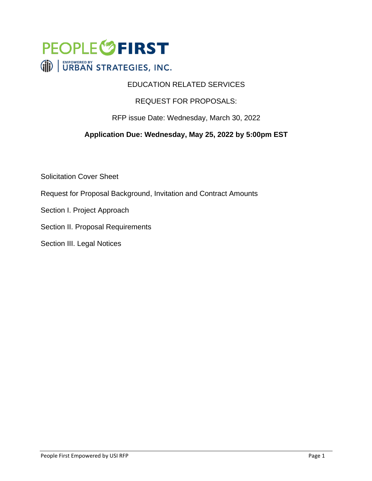

## EDUCATION RELATED SERVICES

## REQUEST FOR PROPOSALS:

### RFP issue Date: Wednesday, March 30, 2022

## **Application Due: Wednesday, May 25, 2022 by 5:00pm EST**

Solicitation Cover Sheet

- Request for Proposal Background, Invitation and Contract Amounts
- Section I. Project Approach
- Section II. Proposal Requirements
- Section III. Legal Notices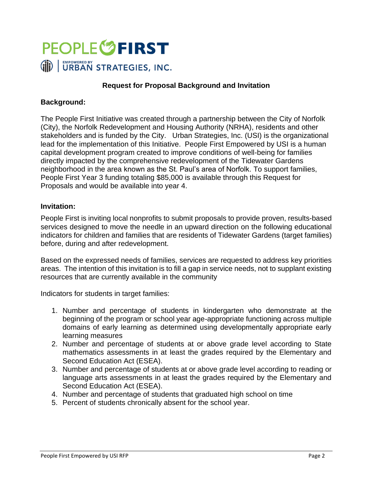

### **Request for Proposal Background and Invitation**

#### **Background:**

The People First Initiative was created through a partnership between the City of Norfolk (City), the Norfolk Redevelopment and Housing Authority (NRHA), residents and other stakeholders and is funded by the City. Urban Strategies, Inc. (USI) is the organizational lead for the implementation of this Initiative. People First Empowered by USI is a human capital development program created to improve conditions of well-being for families directly impacted by the comprehensive redevelopment of the Tidewater Gardens neighborhood in the area known as the St. Paul's area of Norfolk. To support families, People First Year 3 funding totaling \$85,000 is available through this Request for Proposals and would be available into year 4.

#### **Invitation:**

People First is inviting local nonprofits to submit proposals to provide proven, results-based services designed to move the needle in an upward direction on the following educational indicators for children and families that are residents of Tidewater Gardens (target families) before, during and after redevelopment.

Based on the expressed needs of families, services are requested to address key priorities areas. The intention of this invitation is to fill a gap in service needs, not to supplant existing resources that are currently available in the community

Indicators for students in target families:

- 1. Number and percentage of students in kindergarten who demonstrate at the beginning of the program or school year age-appropriate functioning across multiple domains of early learning as determined using developmentally appropriate early learning measures
- 2. Number and percentage of students at or above grade level according to State mathematics assessments in at least the grades required by the Elementary and Second Education Act (ESEA).
- 3. Number and percentage of students at or above grade level according to reading or language arts assessments in at least the grades required by the Elementary and Second Education Act (ESEA).
- 4. Number and percentage of students that graduated high school on time
- 5. Percent of students chronically absent for the school year.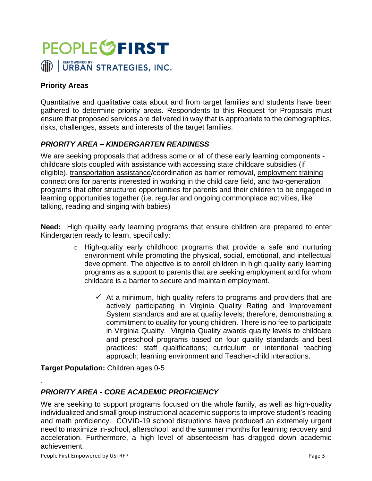

## **Priority Areas**

Quantitative and qualitative data about and from target families and students have been gathered to determine priority areas. Respondents to this Request for Proposals must ensure that proposed services are delivered in way that is appropriate to the demographics, risks, challenges, assets and interests of the target families.

## *PRIORITY AREA – KINDERGARTEN READINESS*

We are seeking proposals that address some or all of these early learning components childcare slots coupled with assistance with accessing state childcare subsidies (if eligible), transportation assistance/coordination as barrier removal, employment training connections for parents interested in working in the child care field, and two-generation programs that offer structured opportunities for parents and their children to be engaged in learning opportunities together (i.e. regular and ongoing commonplace activities, like talking, reading and singing with babies)

**Need:** High quality early learning programs that ensure children are prepared to enter Kindergarten ready to learn, specifically:

- o High-quality early childhood programs that provide a safe and nurturing environment while promoting the physical, social, emotional, and intellectual development. The objective is to enroll children in high quality early learning programs as a support to parents that are seeking employment and for whom childcare is a barrier to secure and maintain employment.
	- $\checkmark$  At a minimum, high quality refers to programs and providers that are actively participating in Virginia Quality Rating and Improvement System standards and are at quality levels; therefore, demonstrating a commitment to quality for young children. There is no fee to participate in Virginia Quality. Virginia Quality awards quality levels to childcare and preschool programs based on four quality standards and best practices: staff qualifications; curriculum or intentional teaching approach; learning environment and Teacher-child interactions.

**Target Population:** Children ages 0-5

## *PRIORITY AREA - CORE ACADEMIC PROFICIENCY*

We are seeking to support programs focused on the whole family, as well as high-quality individualized and small group instructional academic supports to improve student's reading and math proficiency. COVID-19 school disruptions have produced an extremely urgent need to maximize in-school, afterschool, and the summer months for learning recovery and acceleration. Furthermore, a high level of absenteeism has dragged down academic achievement.

.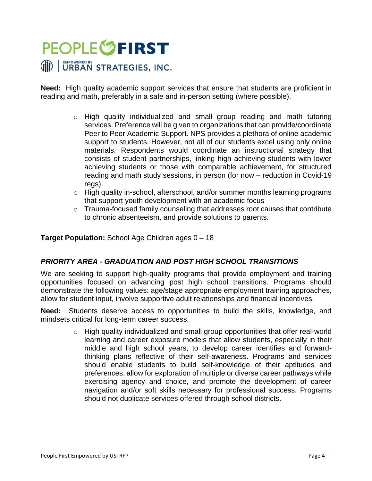**Need:** High quality academic support services that ensure that students are proficient in reading and math, preferably in a safe and in-person setting (where possible).

- o High quality individualized and small group reading and math tutoring services. Preference will be given to organizations that can provide/coordinate Peer to Peer Academic Support. NPS provides a plethora of online academic support to students. However, not all of our students excel using only online materials. Respondents would coordinate an instructional strategy that consists of student partnerships, linking high achieving students with lower achieving students or those with comparable achievement, for structured reading and math study sessions, in person (for now – reduction in Covid-19 regs).
- $\circ$  High quality in-school, afterschool, and/or summer months learning programs that support youth development with an academic focus
- $\circ$  Trauma-focused family counseling that addresses root causes that contribute to chronic absenteeism, and provide solutions to parents.

### **Target Population:** School Age Children ages 0 – 18

## *PRIORITY AREA - GRADUATION AND POST HIGH SCHOOL TRANSITIONS*

We are seeking to support high-quality programs that provide employment and training opportunities focused on advancing post high school transitions. Programs should demonstrate the following values: age/stage appropriate employment training approaches, allow for student input, involve supportive adult relationships and financial incentives.

**Need:** Students deserve access to opportunities to build the skills, knowledge, and mindsets critical for long-term career success.

> $\circ$  High quality individualized and small group opportunities that offer real-world learning and career exposure models that allow students, especially in their middle and high school years, to develop career identifies and forwardthinking plans reflective of their self-awareness. Programs and services should enable students to build self-knowledge of their aptitudes and preferences, allow for exploration of multiple or diverse career pathways while exercising agency and choice, and promote the development of career navigation and/or soft skills necessary for professional success. Programs should not duplicate services offered through school districts.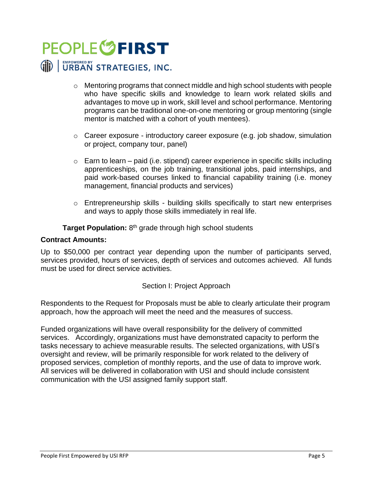# **PEOPLE<sup>6</sup>FIRST** (iii) | URBAN STRATEGIES, INC.

- $\circ$  Mentoring programs that connect middle and high school students with people who have specific skills and knowledge to learn work related skills and advantages to move up in work, skill level and school performance. Mentoring programs can be traditional one-on-one mentoring or group mentoring (single mentor is matched with a cohort of youth mentees).
- $\circ$  Career exposure introductory career exposure (e.g. job shadow, simulation or project, company tour, panel)
- $\circ$  Earn to learn paid (i.e. stipend) career experience in specific skills including apprenticeships, on the job training, transitional jobs, paid internships, and paid work-based courses linked to financial capability training (i.e. money management, financial products and services)
- $\circ$  Entrepreneurship skills building skills specifically to start new enterprises and ways to apply those skills immediately in real life.

Target Population: 8<sup>th</sup> grade through high school students

### **Contract Amounts:**

Up to \$50,000 per contract year depending upon the number of participants served, services provided, hours of services, depth of services and outcomes achieved. All funds must be used for direct service activities.

### Section I: Project Approach

Respondents to the Request for Proposals must be able to clearly articulate their program approach, how the approach will meet the need and the measures of success.

Funded organizations will have overall responsibility for the delivery of committed services. Accordingly, organizations must have demonstrated capacity to perform the tasks necessary to achieve measurable results. The selected organizations, with USI's oversight and review, will be primarily responsible for work related to the delivery of proposed services, completion of monthly reports, and the use of data to improve work. All services will be delivered in collaboration with USI and should include consistent communication with the USI assigned family support staff.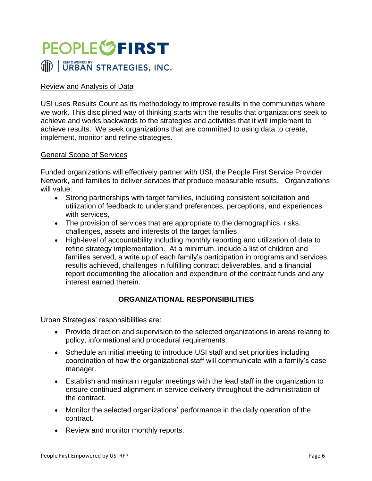

### Review and Analysis of Data

USI uses Results Count as its methodology to improve results in the communities where we work. This disciplined way of thinking starts with the results that organizations seek to achieve and works backwards to the strategies and activities that it will implement to achieve results. We seek organizations that are committed to using data to create, implement, monitor and refine strategies.

#### General Scope of Services

Funded organizations will effectively partner with USI, the People First Service Provider Network, and families to deliver services that produce measurable results. Organizations will value:

- Strong partnerships with target families, including consistent solicitation and utilization of feedback to understand preferences, perceptions, and experiences with services,
- The provision of services that are appropriate to the demographics, risks, challenges, assets and interests of the target families,
- High-level of accountability including monthly reporting and utilization of data to refine strategy implementation. At a minimum, include a list of children and families served, a write up of each family's participation in programs and services, results achieved, challenges in fulfilling contract deliverables, and a financial report documenting the allocation and expenditure of the contract funds and any interest earned therein.

## **ORGANIZATIONAL RESPONSIBILITIES**

Urban Strategies' responsibilities are:

- Provide direction and supervision to the selected organizations in areas relating to policy, informational and procedural requirements.
- Schedule an initial meeting to introduce USI staff and set priorities including coordination of how the organizational staff will communicate with a family's case manager.
- Establish and maintain regular meetings with the lead staff in the organization to ensure continued alignment in service delivery throughout the administration of the contract.
- Monitor the selected organizations' performance in the daily operation of the contract.
- Review and monitor monthly reports.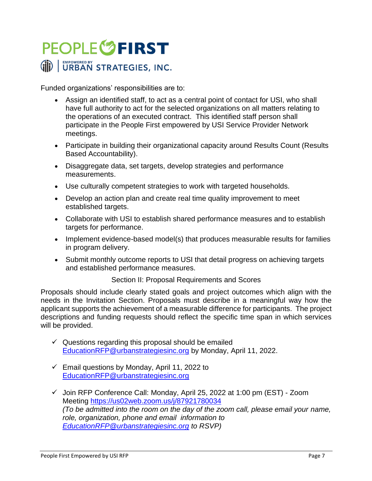Funded organizations' responsibilities are to:

- Assign an identified staff, to act as a central point of contact for USI, who shall have full authority to act for the selected organizations on all matters relating to the operations of an executed contract. This identified staff person shall participate in the People First empowered by USI Service Provider Network meetings.
- Participate in building their organizational capacity around Results Count (Results Based Accountability).
- Disaggregate data, set targets, develop strategies and performance measurements.
- Use culturally competent strategies to work with targeted households.
- Develop an action plan and create real time quality improvement to meet established targets.
- Collaborate with USI to establish shared performance measures and to establish targets for performance.
- Implement evidence-based model(s) that produces measurable results for families in program delivery.
- Submit monthly outcome reports to USI that detail progress on achieving targets and established performance measures.

Section II: Proposal Requirements and Scores

Proposals should include clearly stated goals and project outcomes which align with the needs in the Invitation Section. Proposals must describe in a meaningful way how the applicant supports the achievement of a measurable difference for participants. The project descriptions and funding requests should reflect the specific time span in which services will be provided.

- $\checkmark$  Questions regarding this proposal should be emailed [EducationRFP@urbanstrategiesinc.org](mailto:EducationRFP@urbanstrategiesinc.org) by Monday, April 11, 2022.
- $\checkmark$  Email questions by Monday, April 11, 2022 to [EducationRFP@urbanstrategiesinc.org](mailto:EducationRFP@urbanstrategiesinc.org)
- ✓ Join RFP Conference Call: Monday, April 25, 2022 at 1:00 pm (EST) Zoom Meeting <https://us02web.zoom.us/j/87921780034> *(To be admitted into the room on the day of the zoom call, please email your name, role, organization, phone and email information to [EducationRFP@urbanstrategiesinc.org](mailto:EducationRFP@urbanstrategiesinc.org) to RSVP)*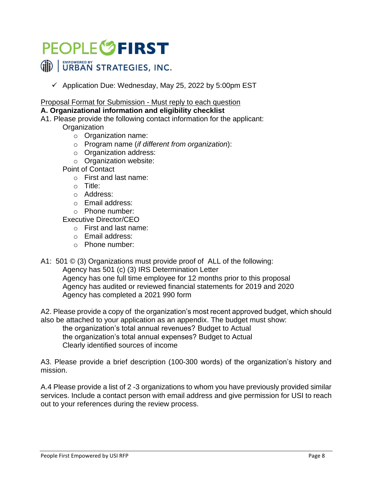$\checkmark$  Application Due: Wednesday, May 25, 2022 by 5:00pm EST

Proposal Format for Submission - Must reply to each question

### **A. Organizational information and eligibility checklist**

A1. Please provide the following contact information for the applicant:

**Organization** 

- o Organization name:
- o Program name (*if different from organization*):
- o Organization address:
- o Organization website:

Point of Contact

- o First and last name:
- o Title:
- o Address:
- o Email address:
- o Phone number:

Executive Director/CEO

- o First and last name:
- o Email address:
- o Phone number:

A1: 501 © (3) Organizations must provide proof of ALL of the following:

Agency has 501 (c) (3) IRS Determination Letter

Agency has one full time employee for 12 months prior to this proposal Agency has audited or reviewed financial statements for 2019 and 2020 Agency has completed a 2021 990 form

A2. Please provide a copy of the organization's most recent approved budget, which should also be attached to your application as an appendix. The budget must show:

the organization's total annual revenues? Budget to Actual the organization's total annual expenses? Budget to Actual Clearly identified sources of income

A3. Please provide a brief description (100-300 words) of the organization's history and mission.

A.4 Please provide a list of 2 -3 organizations to whom you have previously provided similar services. Include a contact person with email address and give permission for USI to reach out to your references during the review process.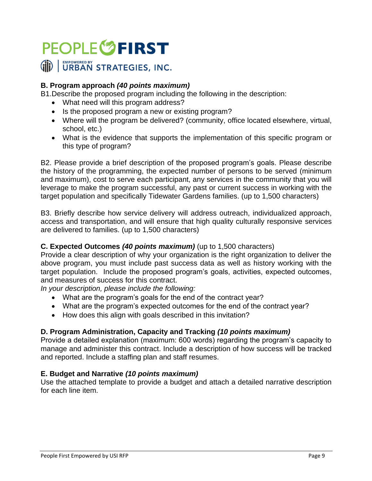## **B. Program approach** *(40 points maximum)*

B1.Describe the proposed program including the following in the description:

- What need will this program address?
- Is the proposed program a new or existing program?
- Where will the program be delivered? (community, office located elsewhere, virtual, school, etc.)
- What is the evidence that supports the implementation of this specific program or this type of program?

B2. Please provide a brief description of the proposed program's goals. Please describe the history of the programming, the expected number of persons to be served (minimum and maximum), cost to serve each participant, any services in the community that you will leverage to make the program successful, any past or current success in working with the target population and specifically Tidewater Gardens families. (up to 1,500 characters)

B3. Briefly describe how service delivery will address outreach, individualized approach, access and transportation, and will ensure that high quality culturally responsive services are delivered to families. (up to 1,500 characters)

## **C. Expected Outcomes** *(40 points maximum)* (up to 1,500 characters)

Provide a clear description of why your organization is the right organization to deliver the above program, you must include past success data as well as history working with the target population. Include the proposed program's goals, activities, expected outcomes, and measures of success for this contract.

*In your description, please include the following:* 

- What are the program's goals for the end of the contract year?
- What are the program's expected outcomes for the end of the contract year?
- How does this align with goals described in this invitation?

## **D. Program Administration, Capacity and Tracking** *(10 points maximum)*

Provide a detailed explanation (maximum: 600 words) regarding the program's capacity to manage and administer this contract. Include a description of how success will be tracked and reported. Include a staffing plan and staff resumes.

### **E. Budget and Narrative** *(10 points maximum)*

Use the attached template to provide a budget and attach a detailed narrative description for each line item.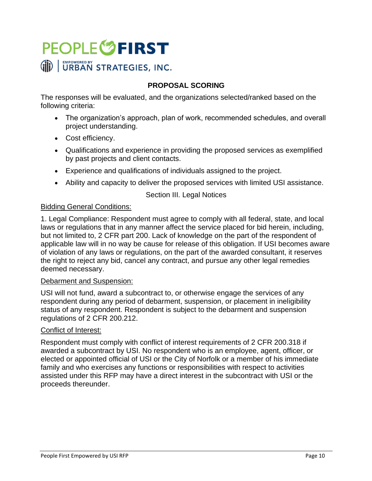## **PROPOSAL SCORING**

The responses will be evaluated, and the organizations selected/ranked based on the following criteria:

- The organization's approach, plan of work, recommended schedules, and overall project understanding.
- Cost efficiency.
- Qualifications and experience in providing the proposed services as exemplified by past projects and client contacts.
- Experience and qualifications of individuals assigned to the project.
- Ability and capacity to deliver the proposed services with limited USI assistance.

### Section III. Legal Notices

### Bidding General Conditions:

1. Legal Compliance: Respondent must agree to comply with all federal, state, and local laws or regulations that in any manner affect the service placed for bid herein, including, but not limited to, 2 CFR part 200. Lack of knowledge on the part of the respondent of applicable law will in no way be cause for release of this obligation. If USI becomes aware of violation of any laws or regulations, on the part of the awarded consultant, it reserves the right to reject any bid, cancel any contract, and pursue any other legal remedies deemed necessary.

#### Debarment and Suspension:

USI will not fund, award a subcontract to, or otherwise engage the services of any respondent during any period of debarment, suspension, or placement in ineligibility status of any respondent. Respondent is subject to the debarment and suspension regulations of 2 CFR 200.212.

### Conflict of Interest:

Respondent must comply with conflict of interest requirements of 2 CFR 200.318 if awarded a subcontract by USI. No respondent who is an employee, agent, officer, or elected or appointed official of USI or the City of Norfolk or a member of his immediate family and who exercises any functions or responsibilities with respect to activities assisted under this RFP may have a direct interest in the subcontract with USI or the proceeds thereunder.